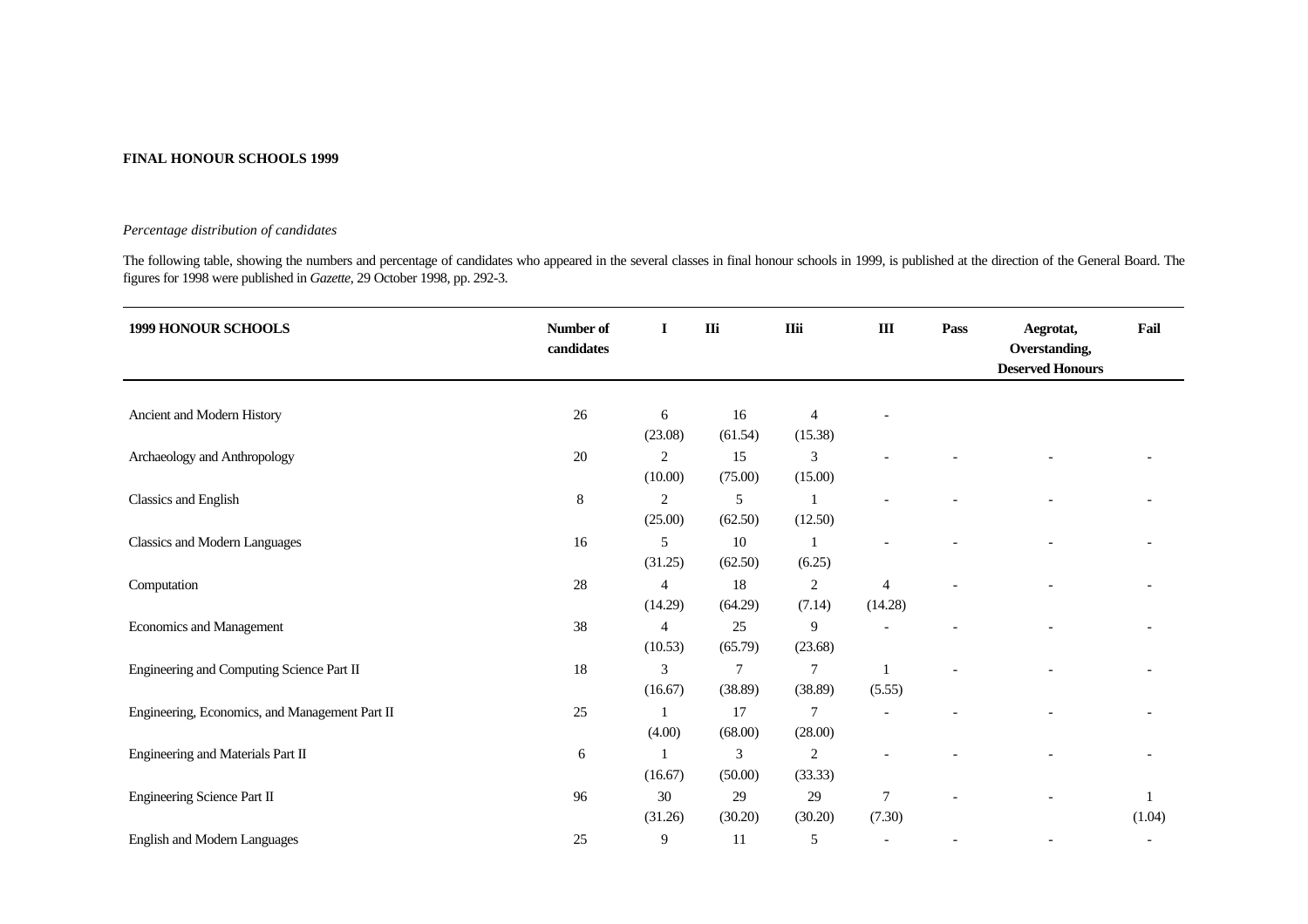## **FINAL HONOUR SCHOOLS 1999**

## *Percentage distribution of candidates*

The following table, showing the numbers and percentage of candidates who appeared in the several classes in final honour schools in 1999, is published at the direction of the General Board. The figures for 1998 were published in *Gazette*, 29 October 1998, pp. 292-3.

| <b>1999 HONOUR SCHOOLS</b>                     | Number of<br>candidates | I              | IIi            | <b>IIii</b>    | $\rm III$                   | Pass | Aegrotat,<br>Overstanding,<br><b>Deserved Honours</b> | Fail         |
|------------------------------------------------|-------------------------|----------------|----------------|----------------|-----------------------------|------|-------------------------------------------------------|--------------|
|                                                |                         |                |                |                |                             |      |                                                       |              |
| Ancient and Modern History                     | $26\,$                  | 6              | 16             | $\overline{4}$ |                             |      |                                                       |              |
|                                                |                         | (23.08)        | (61.54)        | (15.38)        |                             |      |                                                       |              |
| Archaeology and Anthropology                   | $20\,$                  | $\overline{c}$ | 15             | 3              |                             |      |                                                       |              |
|                                                |                         | (10.00)        | (75.00)        | (15.00)        |                             |      |                                                       |              |
| Classics and English                           | 8                       | 2              | 5              |                |                             |      |                                                       |              |
|                                                |                         | (25.00)        | (62.50)        | (12.50)        |                             |      |                                                       |              |
| <b>Classics and Modern Languages</b>           | 16                      | 5              | 10             | $\mathbf{1}$   |                             |      |                                                       |              |
|                                                |                         | (31.25)        | (62.50)        | (6.25)         |                             |      |                                                       |              |
| Computation                                    | $28\,$                  | 4              | 18             | $\overline{c}$ | $\boldsymbol{\vartriangle}$ |      |                                                       |              |
|                                                |                         | (14.29)        | (64.29)        | (7.14)         | (14.28)                     |      |                                                       |              |
| Economics and Management                       | 38                      | 4              | 25             | 9              |                             |      |                                                       |              |
|                                                |                         | (10.53)        | (65.79)        | (23.68)        |                             |      |                                                       |              |
| Engineering and Computing Science Part II      | 18                      | 3              | $\overline{7}$ | 7              |                             |      |                                                       |              |
|                                                |                         | (16.67)        | (38.89)        | (38.89)        | (5.55)                      |      |                                                       |              |
| Engineering, Economics, and Management Part II | 25                      |                | 17             | 7              |                             |      |                                                       |              |
|                                                |                         | (4.00)         | (68.00)        | (28.00)        |                             |      |                                                       |              |
| Engineering and Materials Part II              | 6                       |                | 3              | $\sqrt{2}$     |                             |      |                                                       |              |
|                                                |                         | (16.67)        | (50.00)        | (33.33)        |                             |      |                                                       |              |
| Engineering Science Part II                    | 96                      | $30\,$         | 29             | 29             | $\tau$                      |      |                                                       | $\mathbf{1}$ |
|                                                |                         | (31.26)        | (30.20)        | (30.20)        | (7.30)                      |      |                                                       | (1.04)       |
|                                                |                         |                |                |                |                             |      |                                                       |              |
| <b>English and Modern Languages</b>            | 25                      | 9              | 11             | 5              |                             |      | $\overline{\phantom{a}}$                              |              |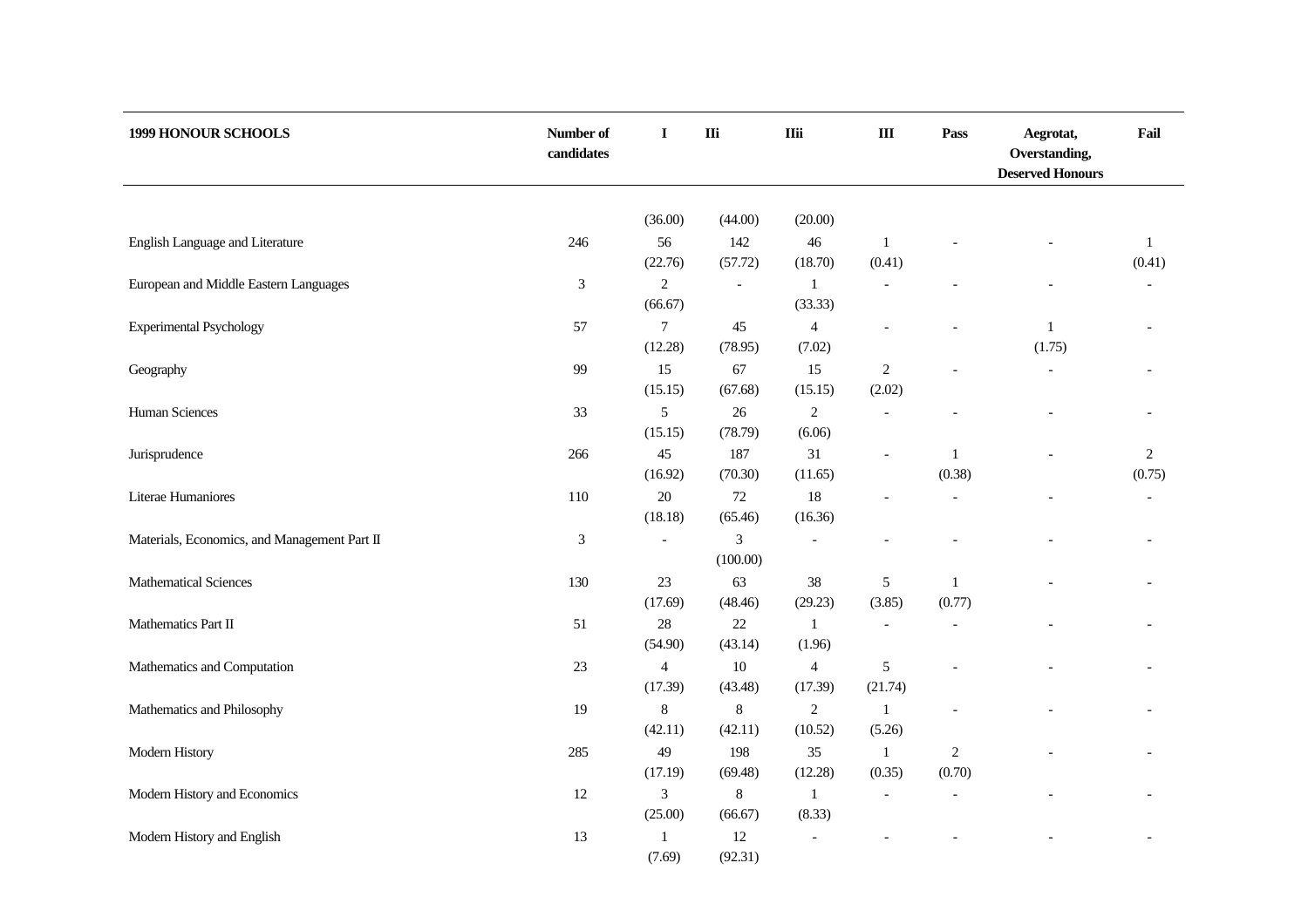| Number of<br>candidates | I                                                                       | $\mathbf{I}$                                                                                                                                                                                                      | <b>IIii</b>                                                                                                                                                                                               | $\rm III$                                                                                                                                                             | Pass                                                                                    | Aegrotat,<br>Overstanding,<br><b>Deserved Honours</b> | Fail                     |
|-------------------------|-------------------------------------------------------------------------|-------------------------------------------------------------------------------------------------------------------------------------------------------------------------------------------------------------------|-----------------------------------------------------------------------------------------------------------------------------------------------------------------------------------------------------------|-----------------------------------------------------------------------------------------------------------------------------------------------------------------------|-----------------------------------------------------------------------------------------|-------------------------------------------------------|--------------------------|
|                         |                                                                         |                                                                                                                                                                                                                   |                                                                                                                                                                                                           |                                                                                                                                                                       |                                                                                         |                                                       |                          |
|                         |                                                                         |                                                                                                                                                                                                                   |                                                                                                                                                                                                           |                                                                                                                                                                       |                                                                                         |                                                       |                          |
|                         |                                                                         |                                                                                                                                                                                                                   |                                                                                                                                                                                                           |                                                                                                                                                                       |                                                                                         |                                                       | $\mathbf{1}$<br>(0.41)   |
|                         |                                                                         |                                                                                                                                                                                                                   |                                                                                                                                                                                                           |                                                                                                                                                                       |                                                                                         |                                                       |                          |
|                         |                                                                         |                                                                                                                                                                                                                   |                                                                                                                                                                                                           |                                                                                                                                                                       |                                                                                         |                                                       |                          |
|                         |                                                                         |                                                                                                                                                                                                                   |                                                                                                                                                                                                           |                                                                                                                                                                       |                                                                                         |                                                       |                          |
|                         | (12.28)                                                                 | (78.95)                                                                                                                                                                                                           | (7.02)                                                                                                                                                                                                    |                                                                                                                                                                       |                                                                                         | (1.75)                                                |                          |
| 99                      | 15                                                                      | 67                                                                                                                                                                                                                | 15                                                                                                                                                                                                        | $\sqrt{2}$                                                                                                                                                            |                                                                                         |                                                       |                          |
|                         | (15.15)                                                                 | (67.68)                                                                                                                                                                                                           | (15.15)                                                                                                                                                                                                   | (2.02)                                                                                                                                                                |                                                                                         |                                                       |                          |
| 33                      | 5                                                                       | 26                                                                                                                                                                                                                | $\mathfrak{2}$                                                                                                                                                                                            | $\overline{a}$                                                                                                                                                        |                                                                                         |                                                       |                          |
|                         | (15.15)                                                                 | (78.79)                                                                                                                                                                                                           | (6.06)                                                                                                                                                                                                    |                                                                                                                                                                       |                                                                                         |                                                       |                          |
| 266                     | 45                                                                      | 187                                                                                                                                                                                                               | 31                                                                                                                                                                                                        |                                                                                                                                                                       | $\mathbf{1}$                                                                            |                                                       | $\sqrt{2}$               |
|                         |                                                                         |                                                                                                                                                                                                                   |                                                                                                                                                                                                           |                                                                                                                                                                       |                                                                                         |                                                       | (0.75)                   |
|                         |                                                                         |                                                                                                                                                                                                                   |                                                                                                                                                                                                           |                                                                                                                                                                       |                                                                                         |                                                       | $\overline{\phantom{a}}$ |
|                         |                                                                         |                                                                                                                                                                                                                   |                                                                                                                                                                                                           |                                                                                                                                                                       |                                                                                         |                                                       |                          |
|                         |                                                                         |                                                                                                                                                                                                                   | $\overline{\phantom{a}}$                                                                                                                                                                                  |                                                                                                                                                                       |                                                                                         |                                                       |                          |
|                         |                                                                         |                                                                                                                                                                                                                   |                                                                                                                                                                                                           |                                                                                                                                                                       |                                                                                         |                                                       |                          |
|                         |                                                                         |                                                                                                                                                                                                                   |                                                                                                                                                                                                           |                                                                                                                                                                       |                                                                                         |                                                       |                          |
|                         |                                                                         |                                                                                                                                                                                                                   |                                                                                                                                                                                                           |                                                                                                                                                                       |                                                                                         |                                                       |                          |
|                         |                                                                         |                                                                                                                                                                                                                   |                                                                                                                                                                                                           |                                                                                                                                                                       |                                                                                         |                                                       |                          |
| 23                      | $\overline{4}$                                                          | 10                                                                                                                                                                                                                | $\overline{4}$                                                                                                                                                                                            | 5                                                                                                                                                                     |                                                                                         |                                                       |                          |
|                         | (17.39)                                                                 | (43.48)                                                                                                                                                                                                           | (17.39)                                                                                                                                                                                                   | (21.74)                                                                                                                                                               |                                                                                         |                                                       |                          |
| 19                      | 8                                                                       | $\,8\,$                                                                                                                                                                                                           | $\sqrt{2}$                                                                                                                                                                                                | $\mathbf{1}$                                                                                                                                                          |                                                                                         |                                                       |                          |
|                         | (42.11)                                                                 | (42.11)                                                                                                                                                                                                           | (10.52)                                                                                                                                                                                                   | (5.26)                                                                                                                                                                |                                                                                         |                                                       |                          |
| 285                     | 49                                                                      | 198                                                                                                                                                                                                               | 35                                                                                                                                                                                                        | 1                                                                                                                                                                     | $\overline{2}$                                                                          |                                                       |                          |
|                         |                                                                         |                                                                                                                                                                                                                   |                                                                                                                                                                                                           |                                                                                                                                                                       |                                                                                         |                                                       |                          |
| $12\,$                  | 3                                                                       | $\,8$                                                                                                                                                                                                             | $\mathbf{1}$                                                                                                                                                                                              |                                                                                                                                                                       |                                                                                         |                                                       |                          |
|                         |                                                                         |                                                                                                                                                                                                                   |                                                                                                                                                                                                           |                                                                                                                                                                       |                                                                                         |                                                       |                          |
|                         |                                                                         |                                                                                                                                                                                                                   |                                                                                                                                                                                                           |                                                                                                                                                                       |                                                                                         |                                                       |                          |
|                         | 246<br>$\mathfrak{Z}$<br>57<br>110<br>$\mathfrak{Z}$<br>130<br>51<br>13 | (36.00)<br>56<br>(22.76)<br>$\mathfrak{2}$<br>(66.67)<br>$\tau$<br>(16.92)<br>$20\,$<br>(18.18)<br>$\overline{\phantom{a}}$<br>23<br>(17.69)<br>$28\,$<br>(54.90)<br>(17.19)<br>(25.00)<br>$\mathbf{1}$<br>(7.69) | (44.00)<br>142<br>(57.72)<br>$\overline{a}$<br>45<br>(70.30)<br>$72\,$<br>(65.46)<br>$\ensuremath{\mathfrak{Z}}$<br>(100.00)<br>63<br>(48.46)<br>22<br>(43.14)<br>(69.48)<br>(66.67)<br>$12\,$<br>(92.31) | (20.00)<br>$46\,$<br>(18.70)<br>$\mathbf{1}$<br>(33.33)<br>$\overline{4}$<br>(11.65)<br>18<br>(16.36)<br>38<br>(29.23)<br>$\mathbf{1}$<br>(1.96)<br>(12.28)<br>(8.33) | $\mathbf{1}$<br>(0.41)<br>$\mathfrak s$<br>(3.85)<br>$\overline{\phantom{a}}$<br>(0.35) | (0.38)<br>$\mathbf{1}$<br>(0.77)<br>(0.70)            | $\mathbf{1}$             |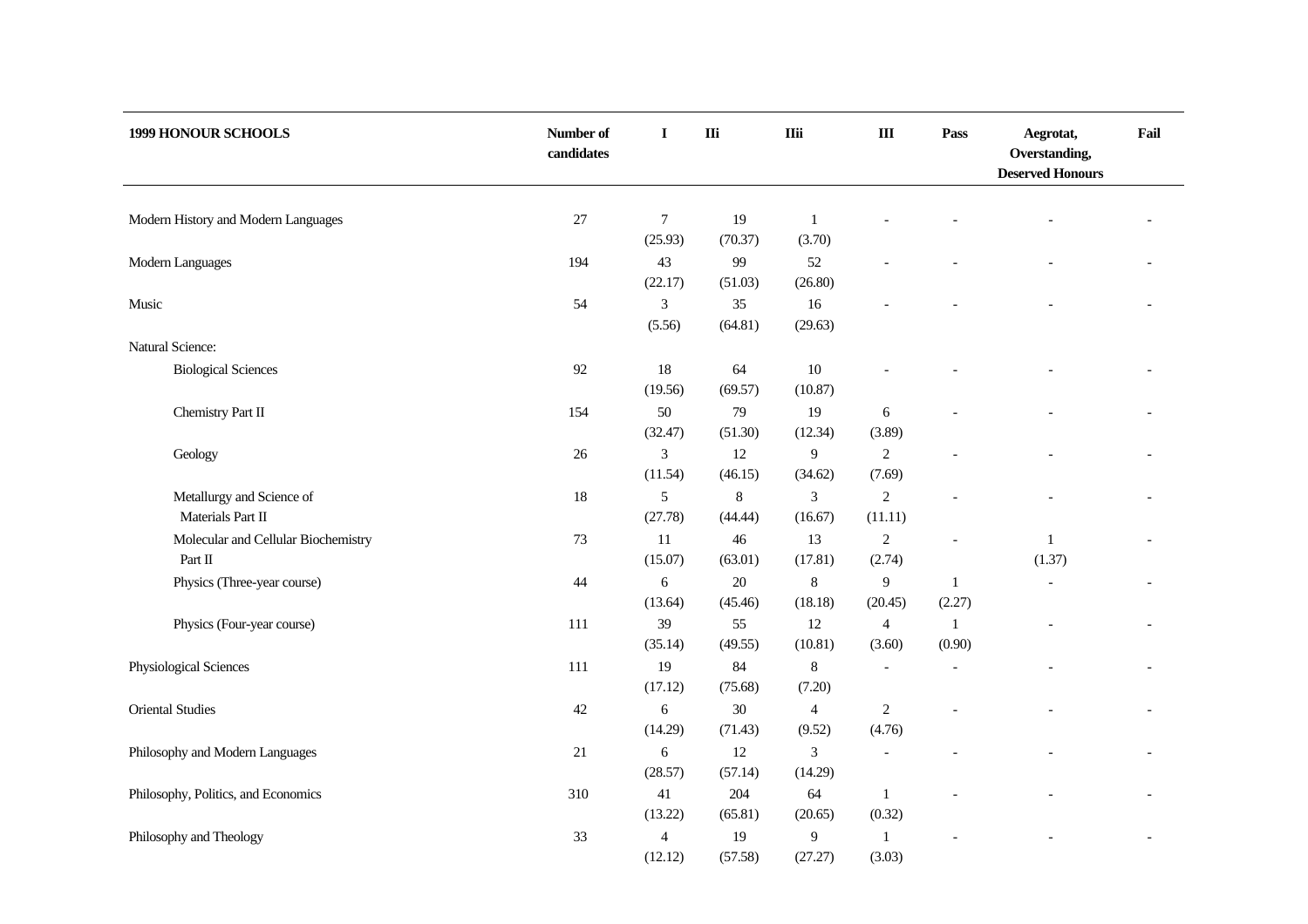| 1999 HONOUR SCHOOLS                            | Number of<br>candidates | I                                  | $\mathbf{I}$       | <b>IIii</b>               | $\rm III$                 | Pass                     | Aegrotat,<br>Overstanding,<br><b>Deserved Honours</b> | Fail |
|------------------------------------------------|-------------------------|------------------------------------|--------------------|---------------------------|---------------------------|--------------------------|-------------------------------------------------------|------|
| Modern History and Modern Languages            | $27\,$                  | $\boldsymbol{7}$<br>(25.93)        | 19<br>(70.37)      | $\mathbf{1}$<br>(3.70)    |                           |                          |                                                       |      |
| Modern Languages                               | 194                     | 43<br>(22.17)                      | 99<br>(51.03)      | 52<br>(26.80)             |                           |                          |                                                       |      |
| Music                                          | 54                      | 3<br>(5.56)                        | 35<br>(64.81)      | 16<br>(29.63)             |                           |                          |                                                       |      |
| Natural Science:                               |                         |                                    |                    |                           |                           |                          |                                                       |      |
| <b>Biological Sciences</b>                     | 92                      | $18\,$<br>(19.56)                  | 64<br>(69.57)      | $10\,$<br>(10.87)         |                           |                          |                                                       |      |
| Chemistry Part II                              | 154                     | 50<br>(32.47)                      | 79<br>(51.30)      | 19<br>(12.34)             | 6<br>(3.89)               |                          |                                                       |      |
| Geology                                        | $26\,$                  | $\mathfrak{Z}$<br>(11.54)          | 12<br>(46.15)      | 9<br>(34.62)              | $\overline{c}$<br>(7.69)  |                          |                                                       |      |
| Metallurgy and Science of<br>Materials Part II | $18\,$                  | 5<br>(27.78)                       | $\,8\,$<br>(44.44) | $\mathfrak{Z}$<br>(16.67) | $\overline{c}$<br>(11.11) |                          |                                                       |      |
| Molecular and Cellular Biochemistry<br>Part II | $73\,$                  | $11\,$<br>(15.07)                  | 46<br>(63.01)      | 13<br>(17.81)             | $\sqrt{2}$<br>(2.74)      | $\overline{\phantom{0}}$ | $\mathbf{1}$<br>(1.37)                                |      |
| Physics (Three-year course)                    | 44                      | $\sqrt{6}$<br>(13.64)              | $20\,$<br>(45.46)  | $\,$ 8 $\,$<br>(18.18)    | 9<br>(20.45)              | $\mathbf{1}$<br>(2.27)   | $\overline{a}$                                        |      |
| Physics (Four-year course)                     | 111                     | 39<br>(35.14)                      | 55<br>(49.55)      | 12<br>(10.81)             | $\overline{4}$<br>(3.60)  | $\mathbf{1}$<br>(0.90)   |                                                       |      |
| Physiological Sciences                         | 111                     | 19<br>(17.12)                      | 84<br>(75.68)      | $\,8\,$<br>(7.20)         |                           |                          |                                                       |      |
| <b>Oriental Studies</b>                        | $42\,$                  | 6<br>(14.29)                       | 30<br>(71.43)      | $\overline{4}$<br>(9.52)  | $\mathfrak{2}$<br>(4.76)  |                          |                                                       |      |
| Philosophy and Modern Languages                | $21\,$                  | 6<br>(28.57)                       | 12<br>(57.14)      | $\mathfrak{Z}$<br>(14.29) |                           |                          |                                                       |      |
| Philosophy, Politics, and Economics            | 310                     | 41<br>(13.22)                      | 204<br>(65.81)     | 64<br>(20.65)             | $\mathbf{1}$<br>(0.32)    |                          |                                                       |      |
| Philosophy and Theology                        | 33                      | $\overline{\mathbf{4}}$<br>(12.12) | 19<br>(57.58)      | 9<br>(27.27)              | 1<br>(3.03)               |                          |                                                       |      |